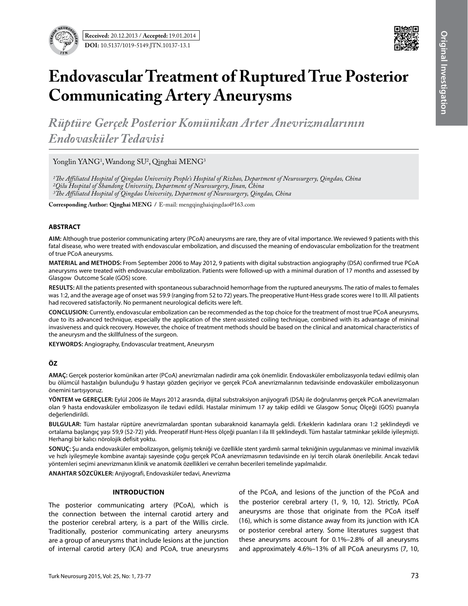



# **Endovascular Treatment of Ruptured True Posterior Communicating Artery Aneurysms**

*Rüptüre Gerçek Posterior Komünikan Arter Anevrizmalarının Endovasküler Tedavisi* 

Yonglin YANG<sup>1</sup>, Wandong SU<sup>2</sup>, Qinghai MENG<sup>3</sup>

*1The Affiliated Hospital of Qingdao University People's Hospital of Rizhao, Department of Neurosurgery, Qingdao, China 2Qilu Hospital of Shandong University, Department of Neurosurgery, Jinan, China*

*3The Affiliated Hospital of Qingdao University, Department of Neurosurgery, Qingdao, China*

**Corresponding Author: Qinghai Meng /** E-mail: mengqinghaiqingdao@163.com

#### **ABSTRACT**

**AIm:** Although true posterior communicating artery (PCoA) aneurysms are rare, they are of vital importance. We reviewed 9 patients with this fatal disease, who were treated with endovascular embolization, and discussed the meaning of endovascular embolization for the treatment of true PCoA aneurysms.

**MaterIal and Methods:** From September 2006 to May 2012, 9 patients with digital substraction angiography (DSA) confirmed true PCoA aneurysms were treated with endovascular embolization. Patients were followed-up with a minimal duration of 17 months and assessed by Glasgow Outcome Scale (GOS) score.

**Results:** All the patients presented with spontaneous subarachnoid hemorrhage from the ruptured aneurysms. The ratio of males to females was 1:2, and the average age of onset was 59.9 (ranging from 52 to 72) years. The preoperative Hunt-Hess grade scores were I to III. All patients had recovered satisfactorily. No permanent neurological deficits were left.

**ConclusIon:** Currently, endovascular embolization can be recommended as the top choice for the treatment of most true PCoA aneurysms, due to its advanced technique, especially the application of the stent-assisted coiling technique, combined with its advantage of mininal invasiveness and quick recovery. However, the choice of treatment methods should be based on the clinical and anatomical characteristics of the aneurysm and the skillfulness of the surgeon.

**KEYWORDS:** Angiography, Endovascular treatment, Aneurysm

## **ÖZ**

**AMAÇ:** Gerçek posterior komünikan arter (PCoA) anevrizmaları nadirdir ama çok önemlidir. Endovasküler embolizasyonla tedavi edilmiş olan bu ölümcül hastalığın bulunduğu 9 hastayı gözden geçiriyor ve gerçek PCoA anevrizmalarının tedavisinde endovasküler embolizasyonun önemini tartışıyoruz.

**YÖNTEM ve GEREÇLER:** Eylül 2006 ile Mayıs 2012 arasında, dijital substraksiyon anjiyografi (DSA) ile doğrulanmış gerçek PCoA anevrizmaları olan 9 hasta endovasküler embolizasyon ile tedavi edildi. Hastalar minimum 17 ay takip edildi ve Glasgow Sonuç Ölçeği (GOS) puanıyla değerlendirildi.

**BULGULAR:** Tüm hastalar rüptüre anevrizmalardan spontan subaraknoid kanamayla geldi. Erkeklerin kadınlara oranı 1:2 şeklindeydi ve ortalama başlangıç yaşı 59,9 (52-72) yıldı. Preoperatif Hunt-Hess ölçeği puanları I ila III şeklindeydi. Tüm hastalar tatminkar şekilde iyileşmişti. Herhangi bir kalıcı nörolojik defisit yoktu.

**SONUÇ:** Şu anda endovasküler embolizasyon, gelişmiş tekniği ve özellikle stent yardımlı sarmal tekniğinin uygulanması ve minimal invazivlik ve hızlı iyileşmeyle kombine avantajı sayesinde çoğu gerçek PCoA anevrizmasının tedavisinde en iyi tercih olarak önerilebilir. Ancak tedavi yöntemleri seçimi anevrizmanın klinik ve anatomik özellikleri ve cerrahın becerileri temelinde yapılmalıdır.

**ANAHTAR SÖZCÜKLER:** Anjiyografi, Endovasküler tedavi, Anevrizma

#### **Introduction**

The posterior communicating artery (PCoA), which is the connection between the internal carotid artery and the posterior cerebral artery, is a part of the Willis circle. Traditionally, posterior communicating artery aneurysms are a group of aneurysms that include lesions at the junction of internal carotid artery (ICA) and PCoA, true aneurysms of the PCoA, and lesions of the junction of the PCoA and the posterior cerebral artery (1, 9, 10, 12). Strictly, PCoA aneurysms are those that originate from the PCoA itself (16), which is some distance away from its junction with ICA or posterior cerebral artery. Some literatures suggest that these aneurysms account for 0.1%–2.8% of all aneurysms and approximately 4.6%–13% of all PCoA aneurysms (7, 10,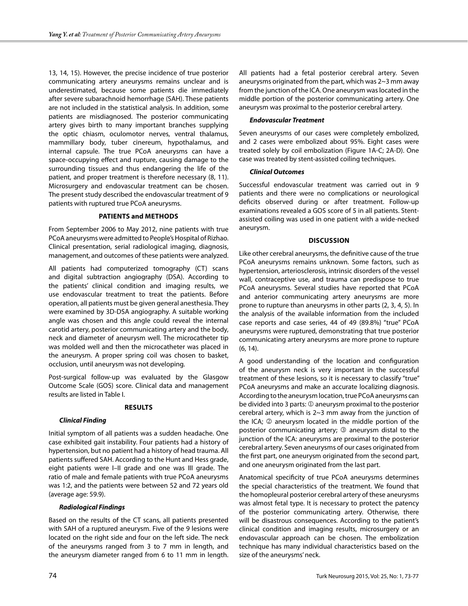13, 14, 15). However, the precise incidence of true posterior communicating artery aneurysms remains unclear and is underestimated, because some patients die immediately after severe subarachnoid hemorrhage (SAH). These patients are not included in the statistical analysis. In addition, some patients are misdiagnosed. The posterior communicating artery gives birth to many important branches supplying the optic chiasm, oculomotor nerves, ventral thalamus, mammillary body, tuber cinereum, hypothalamus, and internal capsule. The true PCoA aneurysms can have a space-occupying effect and rupture, causing damage to the surrounding tissues and thus endangering the life of the patient, and proper treatment is therefore necessary (8, 11). Microsurgery and endovascular treatment can be chosen. The present study described the endovascular treatment of 9 patients with ruptured true PCoA aneurysms.

#### **Patients and methods**

From September 2006 to May 2012, nine patients with true PCoA aneurysms were admitted to People's Hospital of Rizhao. Clinical presentation, serial radiological imaging, diagnosis, management, and outcomes of these patients were analyzed.

All patients had computerized tomography (CT) scans and digital subtraction angiography (DSA). According to the patients' clinical condition and imaging results, we use endovascular treatment to treat the patients. Before operation, all patients must be given general anesthesia. They were examined by 3D-DSA angiography. A suitable working angle was chosen and this angle could reveal the internal carotid artery, posterior communicating artery and the body, neck and diameter of aneurysm well. The microcatheter tip was molded well and then the microcatheter was placed in the aneurysm. A proper spring coil was chosen to basket, occlusion, until aneurysm was not developing.

Post-surgical follow-up was evaluated by the Glasgow Outcome Scale (GOS) score. Clinical data and management results are listed in Table I.

#### **Results**

#### *Clinical Finding*

Initial symptom of all patients was a sudden headache. One case exhibited gait instability. Four patients had a history of hypertension, but no patient had a history of head trauma. All patients suffered SAH. According to the Hunt and Hess grade, eight patients were I–II grade and one was III grade. The ratio of male and female patients with true PCoA aneurysms was 1:2, and the patients were between 52 and 72 years old (average age: 59.9).

#### *Radiological Findings*

Based on the results of the CT scans, all patients presented with SAH of a ruptured aneurysm. Five of the 9 lesions were located on the right side and four on the left side. The neck of the aneurysms ranged from 3 to 7 mm in length, and the aneurysm diameter ranged from 6 to 11 mm in length.

All patients had a fetal posterior cerebral artery. Seven aneurysms originated from the part, which was 2~3 mm away from the junction of the ICA. One aneurysm was located in the middle portion of the posterior communicating artery. One aneurysm was proximal to the posterior cerebral artery.

#### *Endovascular Treatment*

Seven aneurysms of our cases were completely embolized, and 2 cases were embolized about 95%. Eight cases were treated solely by coil embolization (Figure 1A-C; 2A-D). One case was treated by stent-assisted coiling techniques.

#### *Clinical Outcomes*

Successful endovascular treatment was carried out in 9 patients and there were no complications or neurological deficits observed during or after treatment. Follow-up examinations revealed a GOS score of 5 in all patients. Stentassisted coiling was used in one patient with a wide-necked aneurysm.

### **Discussion**

Like other cerebral aneurysms, the definitive cause of the true PCoA aneurysms remains unknown. Some factors, such as hypertension, arteriosclerosis, intrinsic disorders of the vessel wall, contraceptive use, and trauma can predispose to true PCoA aneurysms. Several studies have reported that PCoA and anterior communicating artery aneurysms are more prone to rupture than aneurysms in other parts (2, 3, 4, 5). In the analysis of the available information from the included case reports and case series, 44 of 49 (89.8%) "true" PCoA aneurysms were ruptured, demonstrating that true posterior communicating artery aneurysms are more prone to rupture (6, 14).

A good understanding of the location and configuration of the aneurysm neck is very important in the successful treatment of these lesions, so it is necessary to classify "true" PCoA aneurysms and make an accurate localizing diagnosis. According to the aneurysm location, true PCoA aneurysms can be divided into 3 parts:  $\mathbb D$  aneurysm proximal to the posterior cerebral artery, which is 2~3 mm away from the junction of the ICA;  $\oslash$  aneurysm located in the middle portion of the posterior communicating artery;  $\mathcal D$  aneurysm distal to the junction of the ICA: aneurysms are proximal to the posterior cerebral artery. Seven aneurysms of our cases originated from the first part, one aneurysm originated from the second part, and one aneurysm originated from the last part.

Anatomical specificity of true PCoA aneurysms determines the special characteristics of the treatment. We found that the homopleural posterior cerebral artery of these aneurysms was almost fetal type. It is necessary to protect the patency of the posterior communicating artery. Otherwise, there will be disastrous consequences. According to the patient's clinical condition and imaging results, microsurgery or an endovascular approach can be chosen. The embolization technique has many individual characteristics based on the size of the aneurysms' neck.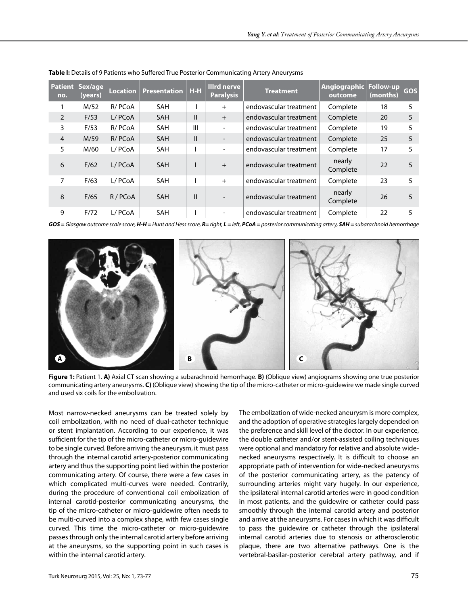| no.            | Patient   Sex/age  <br>(years) | <b>Location</b> | <b>Presentation   H-H</b> |               | Illrd nerve<br><b>Paralysis</b> | <b>Treatment</b>       | Angiographic Follow-up<br>outcome | (months) | <b>GOS</b> |
|----------------|--------------------------------|-----------------|---------------------------|---------------|---------------------------------|------------------------|-----------------------------------|----------|------------|
|                | M/52                           | R/PCoA          | <b>SAH</b>                |               | $+$                             | endovascular treatment | Complete                          | 18       | 5          |
| $\overline{2}$ | F/53                           | L/PCoA          | <b>SAH</b>                | $\mathbf{H}$  | $+$                             | endovascular treatment | Complete                          | 20       | 5          |
| 3              | F/53                           | R/PCoA          | <b>SAH</b>                | Ш             | $\overline{\phantom{a}}$        | endovascular treatment | Complete                          | 19       | 5          |
| $\overline{4}$ | M/59                           | R/PCoA          | <b>SAH</b>                | Ш             | $\overline{\phantom{a}}$        | endovascular treatment | Complete                          | 25       | 5          |
| 5              | M/60                           | L/PCoA          | <b>SAH</b>                |               | $\overline{\phantom{0}}$        | endovascular treatment | Complete                          | 17       | 5          |
| 6              | F/62                           | L/PCoA          | <b>SAH</b>                |               | $+$                             | endovascular treatment | nearly<br>Complete                | 22       | 5          |
| 7              | F/63                           | L/PCoA          | <b>SAH</b>                |               | $+$                             | endovascular treatment | Complete                          | 23       | 5          |
| 8              | F/65                           | R/PCoA          | <b>SAH</b>                | $\mathsf{II}$ | $\blacksquare$                  | endovascular treatment | nearly<br>Complete                | 26       | 5          |
| 9              | F/72                           | L/PCoA          | <b>SAH</b>                |               |                                 | endovascular treatment | Complete                          | 22       | 5          |

**Table I:** Details of 9 Patients who Suffered True Posterior Communicating Artery Aneurysms

GOS = Glasgow outcome scale score, H-H = Hunt and Hess score, R= right, L = left, PCoA = posterior communicating artery, SAH = subarachnoid hemorrhage



**Figure 1:** Patient 1. **A)** Axial CT scan showing a subarachnoid hemorrhage. **B)** (Oblique view) angiograms showing one true posterior communicating artery aneurysms. **C)** (Oblique view) showing the tip of the micro-catheter or micro-guidewire we made single curved and used six coils for the embolization.

Most narrow-necked aneurysms can be treated solely by coil embolization, with no need of dual-catheter technique or stent implantation. According to our experience, it was sufficient for the tip of the micro-catheter or micro-guidewire to be single curved. Before arriving the aneurysm, it must pass through the internal carotid artery-posterior communicating artery and thus the supporting point lied within the posterior communicating artery. Of course, there were a few cases in which complicated multi-curves were needed. Contrarily, during the procedure of conventional coil embolization of internal carotid-posterior communicating aneurysms, the tip of the micro-catheter or micro-guidewire often needs to be multi-curved into a complex shape, with few cases single curved. This time the micro-catheter or micro-guidewire passes through only the internal carotid artery before arriving at the aneurysms, so the supporting point in such cases is within the internal carotid artery.

The embolization of wide-necked aneurysm is more complex, and the adoption of operative strategies largely depended on the preference and skill level of the doctor. In our experience, the double catheter and/or stent-assisted coiling techniques were optional and mandatory for relative and absolute widenecked aneurysms respectively. It is difficult to choose an appropriate path of intervention for wide-necked aneurysms of the posterior communicating artery, as the patency of surrounding arteries might vary hugely. In our experience, the ipsilateral internal carotid arteries were in good condition in most patients, and the guidewire or catheter could pass smoothly through the internal carotid artery and posterior and arrive at the aneurysms. For cases in which it was difficult to pass the guidewire or catheter through the ipsilateral internal carotid arteries due to stenosis or atherosclerotic plaque, there are two alternative pathways. One is the vertebral-basilar-posterior cerebral artery pathway, and if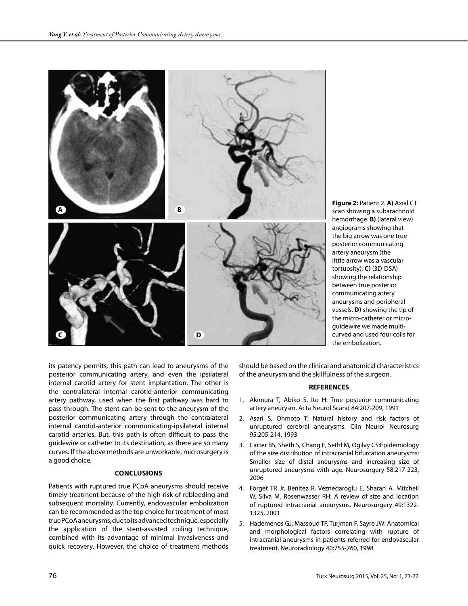

**Figure 2:** Patient 2. **A)** Axial CT scan showing a subarachnoid hemorrhage. **B)** (lateral view) angiograms showing that the big arrow was one true posterior communicating artery aneurysm (the little arrow was a vascular tortuosity); **C)** (3D-DSA) showing the relationship between true posterior communicating artery aneurysms and peripheral vessels. **D)** showing the tip of the micro-catheter or microguidewire we made multicurved and used four coils for the embolization.

its patency permits, this path can lead to aneurysms of the posterior communicating artery, and even the ipsilateral internal carotid artery for stent implantation. The other is the contralateral internal carotid-anterior communicating artery pathway, used when the first pathway was hard to pass through. The stent can be sent to the aneurysm of the posterior communicating artery through the contralateral internal carotid-anterior communicating-ipsilateral internal carotid arteries. But, this path is often difficult to pass the guidewire or catheter to its destination, as there are so many curves. If the above methods are unworkable, microsurgery is a good choice.

#### **Conclusions**

Patients with ruptured true PCoA aneurysms should receive timely treatment because of the high risk of rebleeding and subsequent mortality. Currently, endovascular embolization can be recommended as the top choice for treatment of most true PCoA aneurysms, due to its advanced technique, especially the application of the stent-assisted coiling technique, combined with its advantage of minimal invasiveness and quick recovery. However, the choice of treatment methods

should be based on the clinical and anatomical characteristics of the aneurysm and the skillfulness of the surgeon.

#### **REFERENCES**

- 1. Akimura T, Abiko S, Ito H: True posterior communicating artery aneurysm. Acta Neurol Scand 84:207-209, 1991
- 2. Asari S, Ohmoto T: Natural history and risk factors of unruptured cerebral aneurysms. Clin Neurol Neurosurg 95:205-214, 1993
- 3. Carter BS, Sheth S, Chang E, Sethl M, Ogilvy CS:Epidemiology of the size distribution of intracranial bifurcation aneurysms: Smaller size of distal aneurysms and increasing size of unruptured aneurysms with age. Neurosurgery 58:217-223, 2006
- 4. Forget TR Jr, Benitez R, Veznedaroglu E, Sharan A, Mitchell W, Silva M, Rosenwasser RH: A review of size and location of ruptured intracranial aneurysms. Neurosurgery 49:1322- 1325, 2001
- 5. Hademenos GJ, Massoud TF, Turjman F, Sayre JW: Anatomical and morphological factors correlating with rupture of intracranial aneurysms in patients referred for endovascular treatment. Neuroradiology 40:755-760, 1998